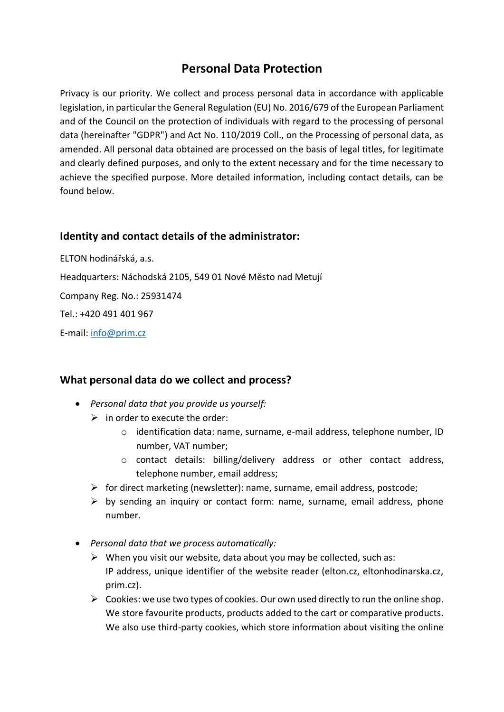# **Personal Data Protection**

Privacy is our priority. We collect and process personal data in accordance with applicable legislation, in particular the General Regulation (EU) No. 2016/679 of the European Parliament and of the Council on the protection of individuals with regard to the processing of personal data (hereinafter "GDPR") and Act No. 110/2019 Coll., on the Processing of personal data, as amended. All personal data obtained are processed on the basis of legal titles, for legitimate and clearly defined purposes, and only to the extent necessary and for the time necessary to achieve the specified purpose. More detailed information, including contact details, can be found below.

# **Identity and contact details of the administrator:**

ELTON hodinářská, a.s. Headquarters: Náchodská 2105, 549 01 Nové Město nad Metují Company Reg. No.: 25931474 Tel.: +420 491 401 967 E-mail: [info@prim.cz](mailto:info@prim.cz)

# **What personal data do we collect and process?**

- *Personal data that you provide us yourself:*
	- $\triangleright$  in order to execute the order:
		- $\circ$  identification data: name, surname, e-mail address, telephone number, ID number, VAT number;
		- $\circ$  contact details: billing/delivery address or other contact address, telephone number, email address;
	- ➢ for direct marketing (newsletter): name, surname, email address, postcode;
	- $\triangleright$  by sending an inquiry or contact form: name, surname, email address, phone number.
- *Personal data that we process automatically:*
	- $\triangleright$  When you visit our website, data about you may be collected, such as: IP address, unique identifier of the website reader (elton.cz, eltonhodinarska.cz, prim.cz).
	- $\triangleright$  Cookies: we use two types of cookies. Our own used directly to run the online shop. We store favourite products, products added to the cart or comparative products. We also use third-party cookies, which store information about visiting the online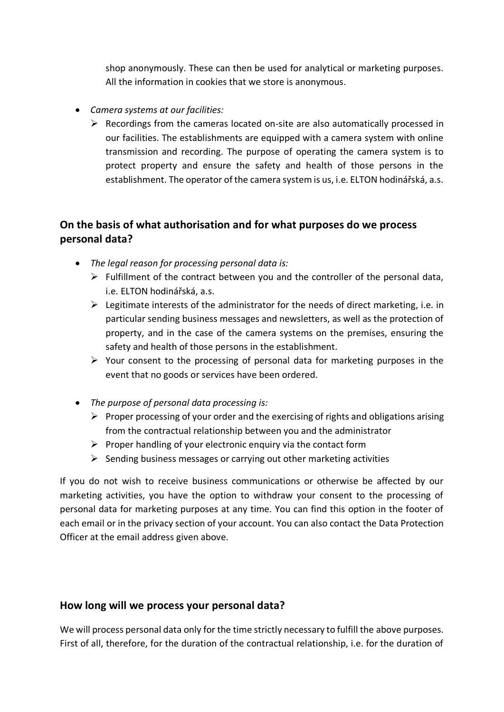shop anonymously. These can then be used for analytical or marketing purposes. All the information in cookies that we store is anonymous.

- *Camera systems at our facilities:*
	- $\triangleright$  Recordings from the cameras located on-site are also automatically processed in our facilities. The establishments are equipped with a camera system with online transmission and recording. The purpose of operating the camera system is to protect property and ensure the safety and health of those persons in the establishment. The operator of the camera system is us, i.e. ELTON hodinářská, a.s.

# **On the basis of what authorisation and for what purposes do we process personal data?**

- *The legal reason for processing personal data is:*
	- $\triangleright$  Fulfillment of the contract between you and the controller of the personal data, i.e. ELTON hodinářská, a.s.
	- $\triangleright$  Legitimate interests of the administrator for the needs of direct marketing, i.e. in particular sending business messages and newsletters, as well as the protection of property, and in the case of the camera systems on the premises, ensuring the safety and health of those persons in the establishment.
	- $\triangleright$  Your consent to the processing of personal data for marketing purposes in the event that no goods or services have been ordered.
- *The purpose of personal data processing is:*
	- $\triangleright$  Proper processing of your order and the exercising of rights and obligations arising from the contractual relationship between you and the administrator
	- $\triangleright$  Proper handling of your electronic enquiry via the contact form
	- $\triangleright$  Sending business messages or carrying out other marketing activities

If you do not wish to receive business communications or otherwise be affected by our marketing activities, you have the option to withdraw your consent to the processing of personal data for marketing purposes at any time. You can find this option in the footer of each email or in the privacy section of your account. You can also contact the Data Protection Officer at the email address given above.

#### **How long will we process your personal data?**

We will process personal data only for the time strictly necessary to fulfill the above purposes. First of all, therefore, for the duration of the contractual relationship, i.e. for the duration of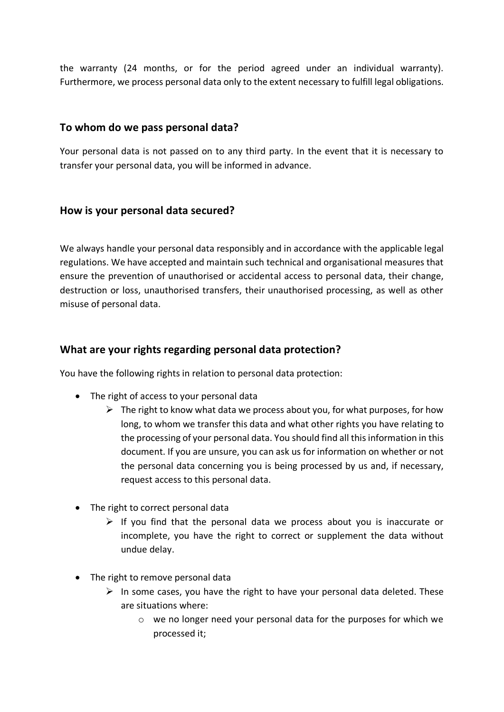the warranty (24 months, or for the period agreed under an individual warranty). Furthermore, we process personal data only to the extent necessary to fulfill legal obligations.

### **To whom do we pass personal data?**

Your personal data is not passed on to any third party. In the event that it is necessary to transfer your personal data, you will be informed in advance.

#### **How is your personal data secured?**

We always handle your personal data responsibly and in accordance with the applicable legal regulations. We have accepted and maintain such technical and organisational measures that ensure the prevention of unauthorised or accidental access to personal data, their change, destruction or loss, unauthorised transfers, their unauthorised processing, as well as other misuse of personal data.

#### **What are your rights regarding personal data protection?**

You have the following rights in relation to personal data protection:

- The right of access to your personal data
	- $\triangleright$  The right to know what data we process about you, for what purposes, for how long, to whom we transfer this data and what other rights you have relating to the processing of your personal data. You should find all this information in this document. If you are unsure, you can ask us for information on whether or not the personal data concerning you is being processed by us and, if necessary, request access to this personal data.
- The right to correct personal data
	- $\triangleright$  If you find that the personal data we process about you is inaccurate or incomplete, you have the right to correct or supplement the data without undue delay.
- The right to remove personal data
	- $\triangleright$  In some cases, you have the right to have your personal data deleted. These are situations where:
		- o we no longer need your personal data for the purposes for which we processed it;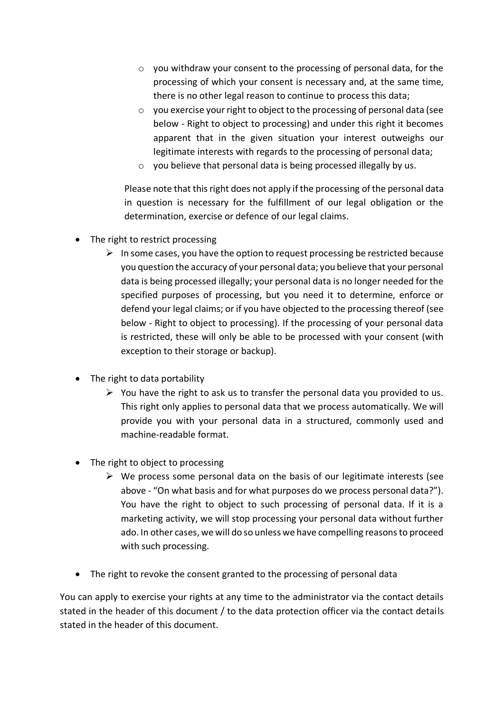- o you withdraw your consent to the processing of personal data, for the processing of which your consent is necessary and, at the same time, there is no other legal reason to continue to process this data;
- o you exercise your right to object to the processing of personal data (see below - Right to object to processing) and under this right it becomes apparent that in the given situation your interest outweighs our legitimate interests with regards to the processing of personal data;
- o you believe that personal data is being processed illegally by us.

Please note that this right does not apply if the processing of the personal data in question is necessary for the fulfillment of our legal obligation or the determination, exercise or defence of our legal claims.

- The right to restrict processing
	- $\triangleright$  In some cases, you have the option to request processing be restricted because you question the accuracy of your personal data; you believe that your personal data is being processed illegally; your personal data is no longer needed for the specified purposes of processing, but you need it to determine, enforce or defend your legal claims; or if you have objected to the processing thereof (see below - Right to object to processing). If the processing of your personal data is restricted, these will only be able to be processed with your consent (with exception to their storage or backup).
- The right to data portability
	- $\triangleright$  You have the right to ask us to transfer the personal data you provided to us. This right only applies to personal data that we process automatically. We will provide you with your personal data in a structured, commonly used and machine-readable format.
- The right to object to processing
	- $\triangleright$  We process some personal data on the basis of our legitimate interests (see above - "On what basis and for what purposes do we process personal data?"). You have the right to object to such processing of personal data. If it is a marketing activity, we will stop processing your personal data without further ado. In other cases, we will do so unless we have compelling reasons to proceed with such processing.
- The right to revoke the consent granted to the processing of personal data

You can apply to exercise your rights at any time to the administrator via the contact details stated in the header of this document / to the data protection officer via the contact details stated in the header of this document.